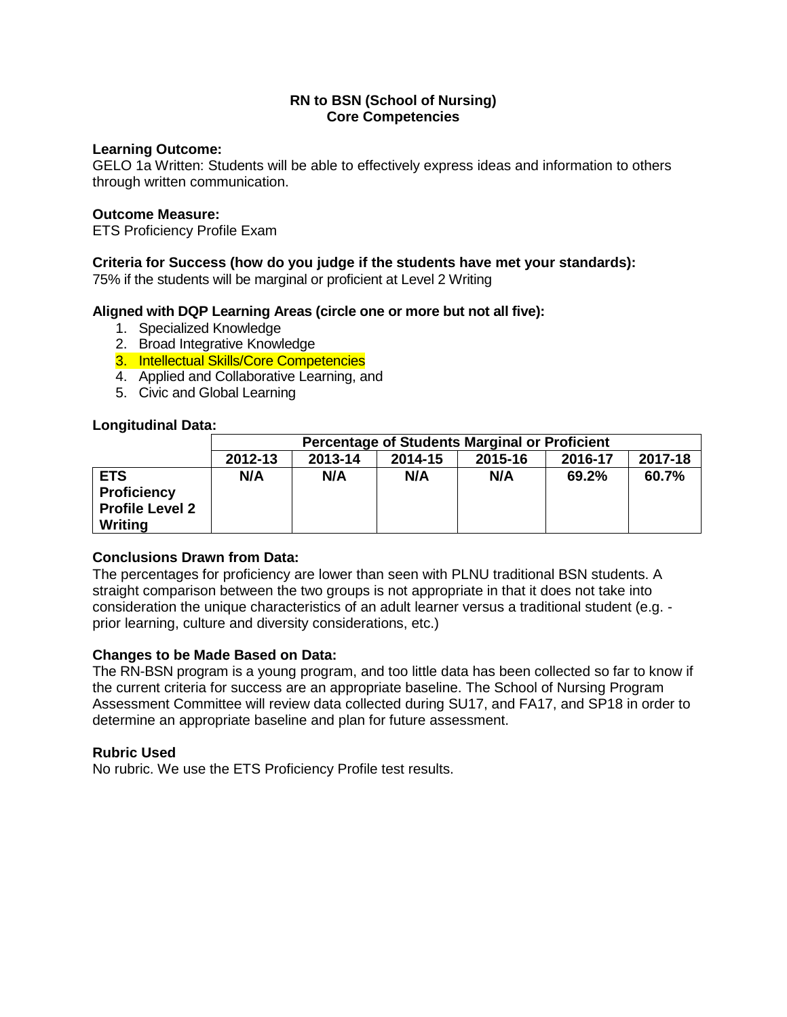#### **Learning Outcome:**

GELO 1a Written: Students will be able to effectively express ideas and information to others through written communication.

#### **Outcome Measure:**

ETS Proficiency Profile Exam

# **Criteria for Success (how do you judge if the students have met your standards):**

75% if the students will be marginal or proficient at Level 2 Writing

# **Aligned with DQP Learning Areas (circle one or more but not all five):**

- 1. Specialized Knowledge
- 2. Broad Integrative Knowledge
- 3. Intellectual Skills/Core Competencies
- 4. Applied and Collaborative Learning, and
- 5. Civic and Global Learning

# **Longitudinal Data:**

|                                                                       | <b>Percentage of Students Marginal or Proficient</b>           |     |     |     |       |       |  |
|-----------------------------------------------------------------------|----------------------------------------------------------------|-----|-----|-----|-------|-------|--|
|                                                                       | 2017-18<br>2013-14<br>2014-15<br>2012-13<br>2015-16<br>2016-17 |     |     |     |       |       |  |
| <b>ETS</b><br><b>Proficiency</b><br><b>Profile Level 2</b><br>Writing | N/A                                                            | N/A | N/A | N/A | 69.2% | 60.7% |  |

#### **Conclusions Drawn from Data:**

The percentages for proficiency are lower than seen with PLNU traditional BSN students. A straight comparison between the two groups is not appropriate in that it does not take into consideration the unique characteristics of an adult learner versus a traditional student (e.g. prior learning, culture and diversity considerations, etc.)

#### **Changes to be Made Based on Data:**

The RN-BSN program is a young program, and too little data has been collected so far to know if the current criteria for success are an appropriate baseline. The School of Nursing Program Assessment Committee will review data collected during SU17, and FA17, and SP18 in order to determine an appropriate baseline and plan for future assessment.

#### **Rubric Used**

No rubric. We use the ETS Proficiency Profile test results.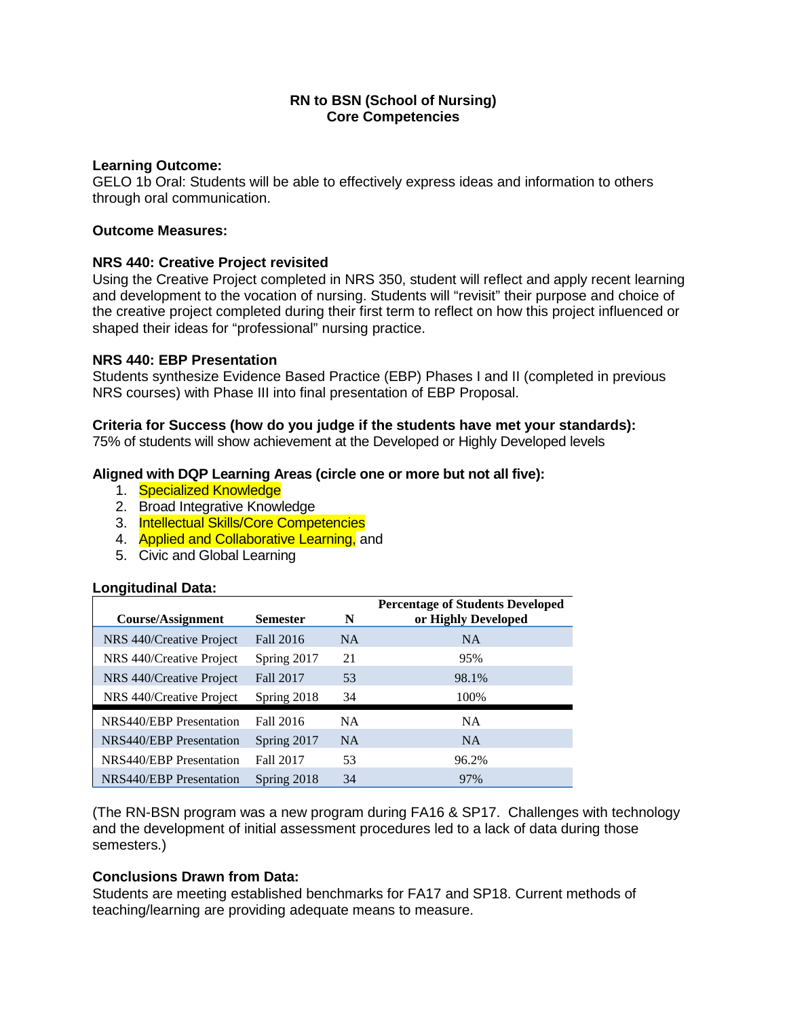#### **Learning Outcome:**

GELO 1b Oral: Students will be able to effectively express ideas and information to others through oral communication.

# **Outcome Measures:**

# **NRS 440: Creative Project revisited**

Using the Creative Project completed in NRS 350, student will reflect and apply recent learning and development to the vocation of nursing. Students will "revisit" their purpose and choice of the creative project completed during their first term to reflect on how this project influenced or shaped their ideas for "professional" nursing practice.

# **NRS 440: EBP Presentation**

Students synthesize Evidence Based Practice (EBP) Phases I and II (completed in previous NRS courses) with Phase III into final presentation of EBP Proposal.

# **Criteria for Success (how do you judge if the students have met your standards):**

75% of students will show achievement at the Developed or Highly Developed levels

# **Aligned with DQP Learning Areas (circle one or more but not all five):**

- 1. Specialized Knowledge
- 2. Broad Integrative Knowledge
- 3. Intellectual Skills/Core Competencies
- 4. Applied and Collaborative Learning, and
- 5. Civic and Global Learning

#### **Longitudinal Data:**

| Course/Assignment              | <b>Semester</b> | N         | <b>Percentage of Students Developed</b><br>or Highly Developed |
|--------------------------------|-----------------|-----------|----------------------------------------------------------------|
| NRS 440/Creative Project       | Fall 2016       | <b>NA</b> | <b>NA</b>                                                      |
| NRS 440/Creative Project       | Spring 2017     | 21        | 95%                                                            |
| NRS 440/Creative Project       | Fall 2017       | 53        | 98.1%                                                          |
| NRS 440/Creative Project       | Spring 2018     | 34        | 100%                                                           |
| NRS440/EBP Presentation        | Fall 2016       | <b>NA</b> | <b>NA</b>                                                      |
| NRS440/EBP Presentation        | Spring 2017     | <b>NA</b> | <b>NA</b>                                                      |
| NRS440/EBP Presentation        | Fall 2017       | 53        | 96.2%                                                          |
| <b>NRS440/EBP</b> Presentation | Spring 2018     | 34        | 97%                                                            |

(The RN-BSN program was a new program during FA16 & SP17. Challenges with technology and the development of initial assessment procedures led to a lack of data during those semesters.)

# **Conclusions Drawn from Data:**

Students are meeting established benchmarks for FA17 and SP18. Current methods of teaching/learning are providing adequate means to measure.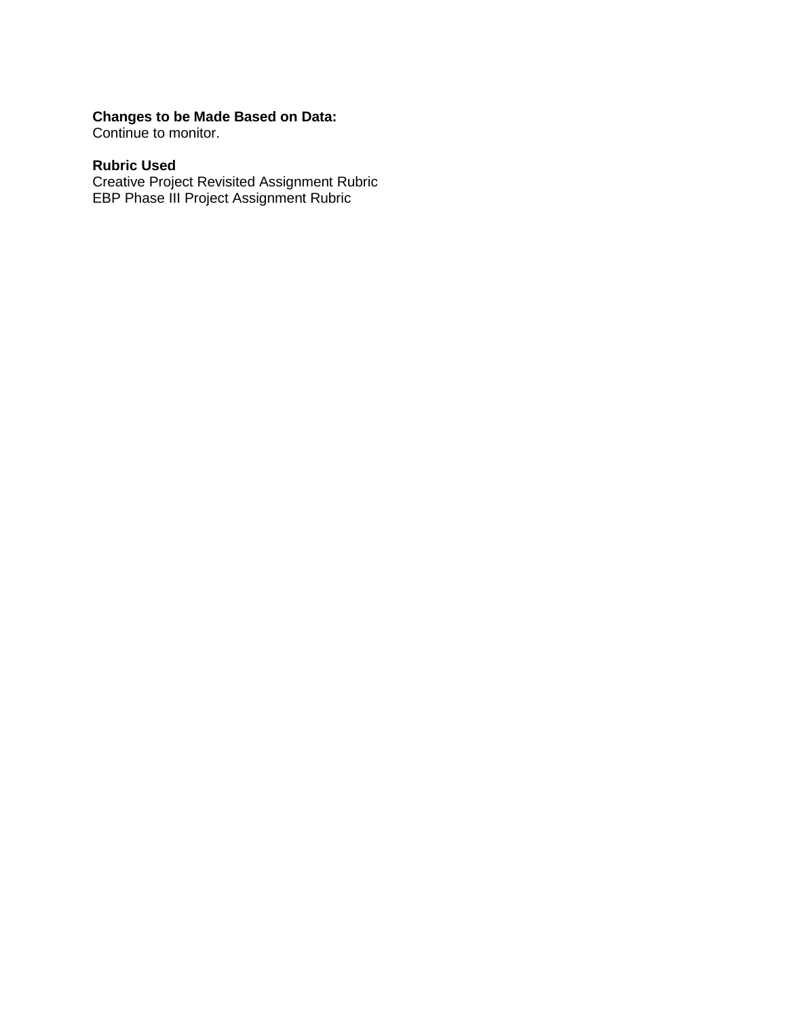# **Changes to be Made Based on Data:**

Continue to monitor.

# **Rubric Used**

Creative Project Revisited Assignment Rubric EBP Phase III Project Assignment Rubric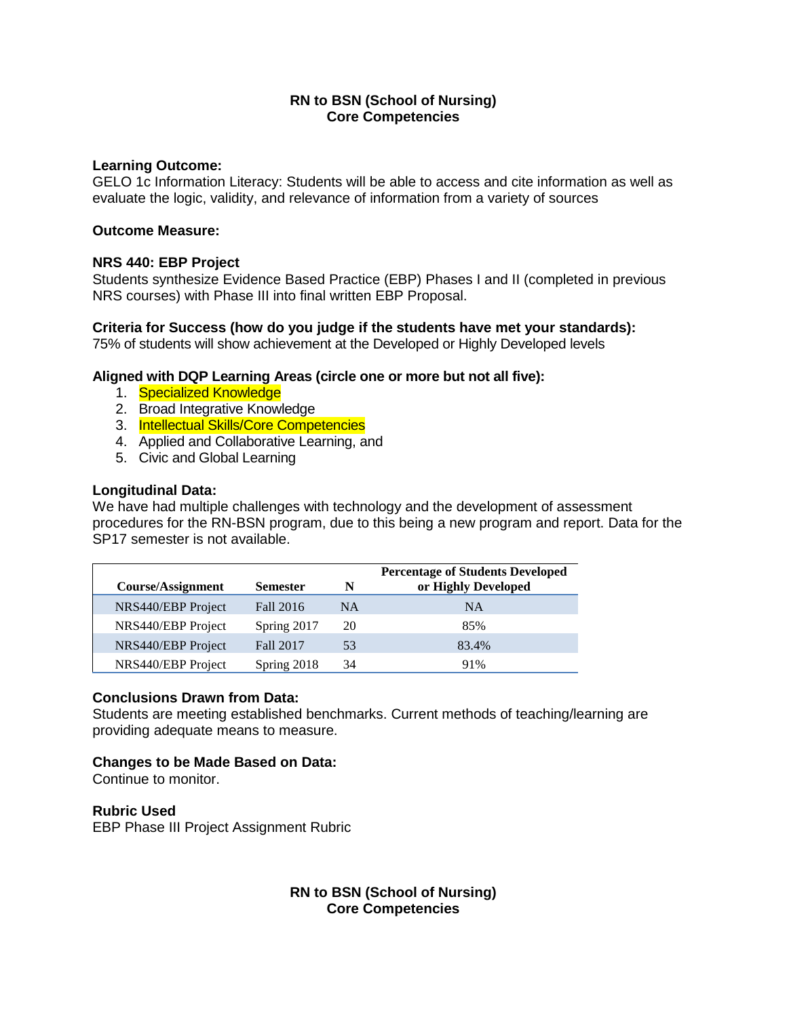#### **Learning Outcome:**

GELO 1c Information Literacy: Students will be able to access and cite information as well as evaluate the logic, validity, and relevance of information from a variety of sources

# **Outcome Measure:**

# **NRS 440: EBP Project**

Students synthesize Evidence Based Practice (EBP) Phases I and II (completed in previous NRS courses) with Phase III into final written EBP Proposal.

# **Criteria for Success (how do you judge if the students have met your standards):**

75% of students will show achievement at the Developed or Highly Developed levels

# **Aligned with DQP Learning Areas (circle one or more but not all five):**

- 1. Specialized Knowledge
- 2. Broad Integrative Knowledge
- 3. Intellectual Skills/Core Competencies
- 4. Applied and Collaborative Learning, and
- 5. Civic and Global Learning

# **Longitudinal Data:**

We have had multiple challenges with technology and the development of assessment procedures for the RN-BSN program, due to this being a new program and report. Data for the SP17 semester is not available.

| Course/Assignment  | <b>Semester</b> | N  | <b>Percentage of Students Developed</b><br>or Highly Developed |
|--------------------|-----------------|----|----------------------------------------------------------------|
| NRS440/EBP Project | Fall 2016       | NA | <b>NA</b>                                                      |
| NRS440/EBP Project | Spring 2017     | 20 | 85%                                                            |
| NRS440/EBP Project | Fall 2017       | 53 | 83.4%                                                          |
| NRS440/EBP Project | Spring 2018     | 34 | 91%                                                            |

#### **Conclusions Drawn from Data:**

Students are meeting established benchmarks. Current methods of teaching/learning are providing adequate means to measure.

# **Changes to be Made Based on Data:**

Continue to monitor.

#### **Rubric Used**

EBP Phase III Project Assignment Rubric

# **RN to BSN (School of Nursing) Core Competencies**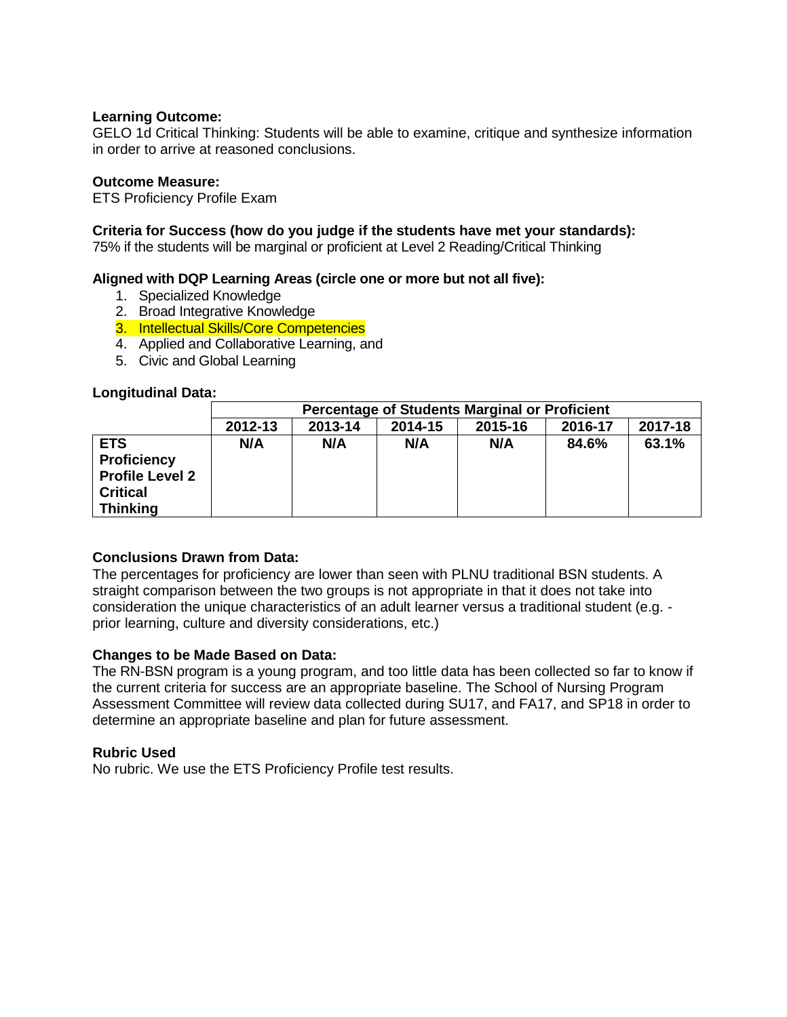#### **Learning Outcome:**

GELO 1d Critical Thinking: Students will be able to examine, critique and synthesize information in order to arrive at reasoned conclusions.

# **Outcome Measure:**

ETS Proficiency Profile Exam

# **Criteria for Success (how do you judge if the students have met your standards):**

75% if the students will be marginal or proficient at Level 2 Reading/Critical Thinking

# **Aligned with DQP Learning Areas (circle one or more but not all five):**

- 1. Specialized Knowledge
- 2. Broad Integrative Knowledge
- 3. Intellectual Skills/Core Competencies
- 4. Applied and Collaborative Learning, and
- 5. Civic and Global Learning

#### **Longitudinal Data:**

|                                                                                                  | <b>Percentage of Students Marginal or Proficient</b> |         |         |         |         |         |
|--------------------------------------------------------------------------------------------------|------------------------------------------------------|---------|---------|---------|---------|---------|
|                                                                                                  | 2012-13                                              | 2013-14 | 2014-15 | 2015-16 | 2016-17 | 2017-18 |
| <b>ETS</b><br><b>Proficiency</b><br><b>Profile Level 2</b><br><b>Critical</b><br><b>Thinking</b> | N/A                                                  | N/A     | N/A     | N/A     | 84.6%   | 63.1%   |

# **Conclusions Drawn from Data:**

The percentages for proficiency are lower than seen with PLNU traditional BSN students. A straight comparison between the two groups is not appropriate in that it does not take into consideration the unique characteristics of an adult learner versus a traditional student (e.g. prior learning, culture and diversity considerations, etc.)

#### **Changes to be Made Based on Data:**

The RN-BSN program is a young program, and too little data has been collected so far to know if the current criteria for success are an appropriate baseline. The School of Nursing Program Assessment Committee will review data collected during SU17, and FA17, and SP18 in order to determine an appropriate baseline and plan for future assessment.

#### **Rubric Used**

No rubric. We use the ETS Proficiency Profile test results.